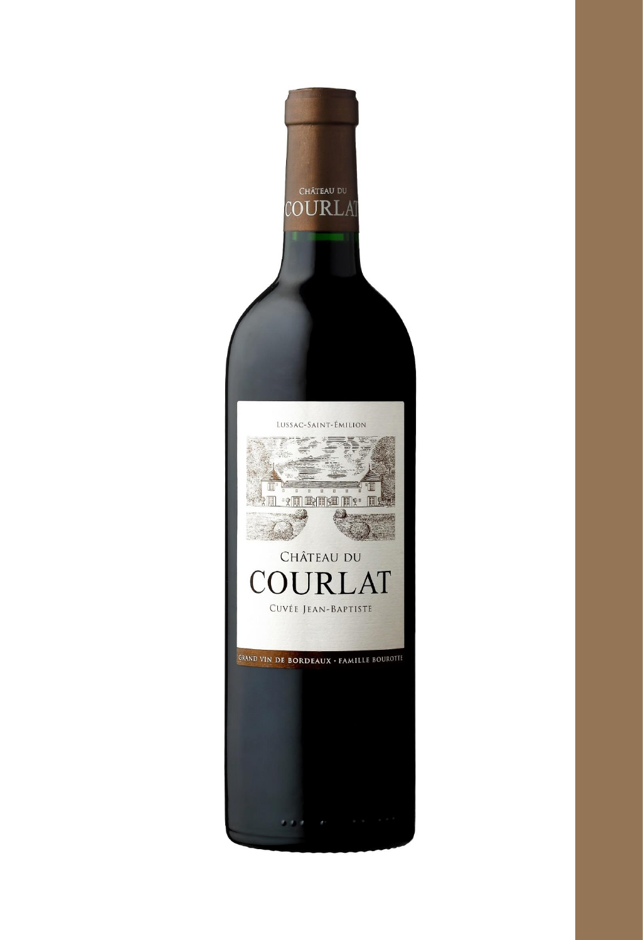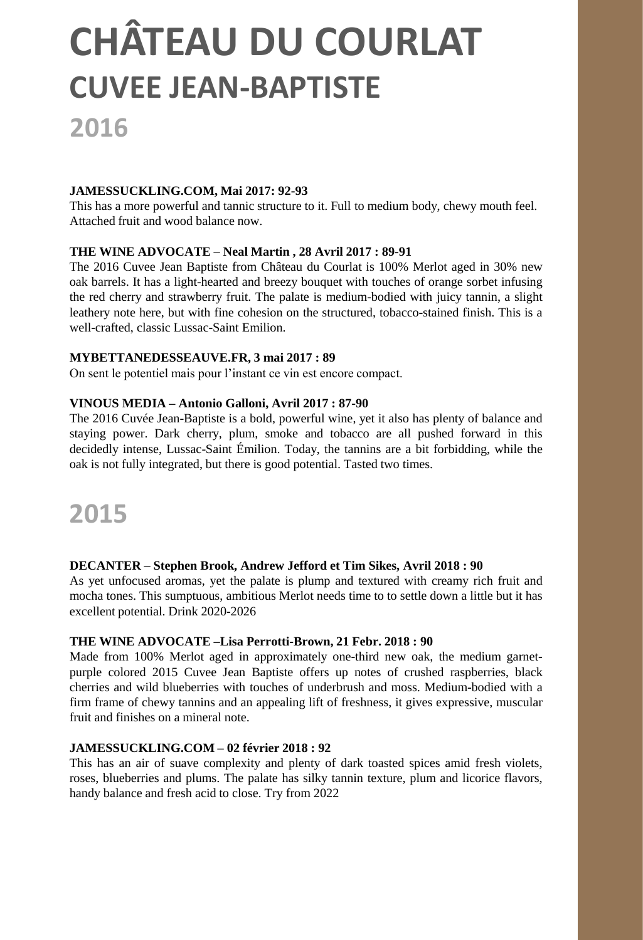# **FEAU DU COURLAT CHÂTEAU DU COURLAT CUVEE JEAN-BAPTISTE**

### **2016**

#### **JAMESSUCKLING.COM, Mai 2017: 92-93**

This has a more powerful and tannic structure to it. Full to medium body, chewy mouth feel. Attached fruit and wood balance now.

#### **THE WINE ADVOCATE – Neal Martin , 28 Avril 2017 : 89-91**

The 2016 Cuvee Jean Baptiste from Château du Courlat is 100% Merlot aged in 30% new oak barrels. It has a light-hearted and breezy bouquet with touches of orange sorbet infusing the red cherry and strawberry fruit. The palate is medium-bodied with juicy tannin, a slight leathery note here, but with fine cohesion on the structured, tobacco-stained finish. This is a well-crafted, classic Lussac-Saint Emilion.

#### **MYBETTANEDESSEAUVE.FR, 3 mai 2017 : 89**

On sent le potentiel mais pour l'instant ce vin est encore compact.

#### **VINOUS MEDIA – Antonio Galloni, Avril 2017 : 87-90**

The 2016 Cuvée Jean-Baptiste is a bold, powerful wine, yet it also has plenty of balance and staying power. Dark cherry, plum, smoke and tobacco are all pushed forward in this decidedly intense, Lussac-Saint Émilion. Today, the tannins are a bit forbidding, while the oak is not fully integrated, but there is good potential. Tasted two times.

## **2015**

#### **DECANTER – Stephen Brook, Andrew Jefford et Tim Sikes, Avril 2018 : 90**

As yet unfocused aromas, yet the palate is plump and textured with creamy rich fruit and mocha tones. This sumptuous, ambitious Merlot needs time to to settle down a little but it has excellent potential. Drink 2020-2026

#### **THE WINE ADVOCATE –Lisa Perrotti-Brown, 21 Febr. 2018 : 90**

Made from 100% Merlot aged in approximately one-third new oak, the medium garnetpurple colored 2015 Cuvee Jean Baptiste offers up notes of crushed raspberries, black cherries and wild blueberries with touches of underbrush and moss. Medium-bodied with a firm frame of chewy tannins and an appealing lift of freshness, it gives expressive, muscular fruit and finishes on a mineral note.

#### **JAMESSUCKLING.COM – 02 février 2018 : 92**

This has an air of suave complexity and plenty of dark toasted spices amid fresh violets, roses, blueberries and plums. The palate has silky tannin texture, plum and licorice flavors, handy balance and fresh acid to close. Try from 2022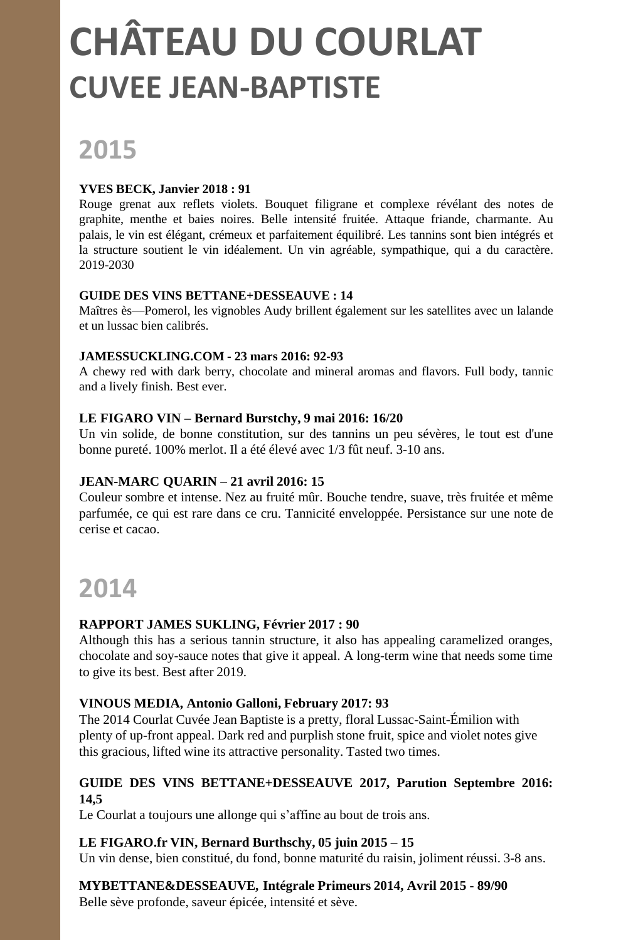# **CHÂTEAU DU COURLAT PRIMEURS 2015 CUVEE JEAN-BAPTISTE**

# **2015**

#### **YVES BECK, Janvier 2018 : 91**

Rouge grenat aux reflets violets. Bouquet filigrane et complexe révélant des notes de graphite, menthe et baies noires. Belle intensité fruitée. Attaque friande, charmante. Au palais, le vin est élégant, crémeux et parfaitement équilibré. Les tannins sont bien intégrés et la structure soutient le vin idéalement. Un vin agréable, sympathique, qui a du caractère. 2019-2030

#### **GUIDE DES VINS BETTANE+DESSEAUVE : 14**

Maîtres ès—Pomerol, les vignobles Audy brillent également sur les satellites avec un lalande et un lussac bien calibrés.

#### **JAMESSUCKLING.COM - 23 mars 2016: 92-93**

A chewy red with dark berry, chocolate and mineral aromas and flavors. Full body, tannic and a lively finish. Best ever.

#### **LE FIGARO VIN – Bernard Burstchy, 9 mai 2016: 16/20**

Un vin solide, de bonne constitution, sur des tannins un peu sévères, le tout est d'une bonne pureté. 100% merlot. Il a été élevé avec 1/3 fût neuf. 3-10 ans.

#### **JEAN-MARC QUARIN – 21 avril 2016: 15**

Couleur sombre et intense. Nez au fruité mûr. Bouche tendre, suave, très fruitée et même parfumée, ce qui est rare dans ce cru. Tannicité enveloppée. Persistance sur une note de cerise et cacao.

## **2014**

#### **RAPPORT JAMES SUKLING, Février 2017 : 90**

Although this has a serious tannin structure, it also has appealing caramelized oranges, chocolate and soy-sauce notes that give it appeal. A long-term wine that needs some time to give its best. Best after 2019.

#### **VINOUS MEDIA, Antonio Galloni, February 2017: 93**

The 2014 Courlat Cuvée Jean Baptiste is a pretty, floral Lussac-Saint-Émilion with plenty of up-front appeal. Dark red and purplish stone fruit, spice and violet notes give this gracious, lifted wine its attractive personality. Tasted two times.

#### **GUIDE DES VINS BETTANE+DESSEAUVE 2017, Parution Septembre 2016: 14,5**

Le Courlat a toujours une allonge qui s'affine au bout de trois ans.

#### **LE FIGARO.fr VIN, Bernard Burthschy, 05 juin 2015 – 15**

Un vin dense, bien constitué, du fond, bonne maturité du raisin, joliment réussi. 3-8 ans.

#### **MYBETTANE&DESSEAUVE, Intégrale Primeurs 2014, Avril 2015 - 89/90**

Belle sève profonde, saveur épicée, intensité et sève.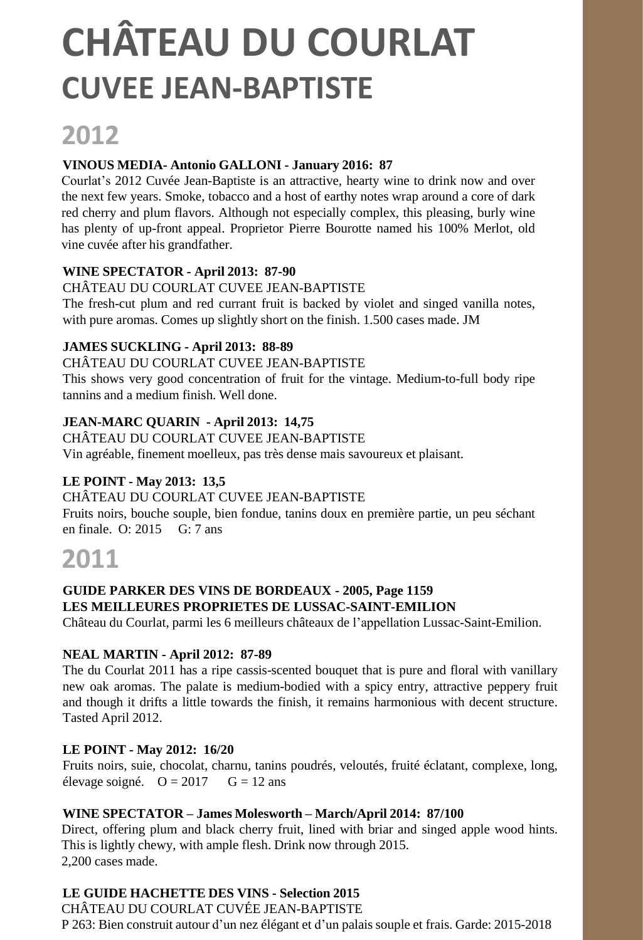## **2012**

#### **VINOUS MEDIA- Antonio GALLONI - January 2016: 87**

Courlat's 2012 Cuvée Jean-Baptiste is an attractive, hearty wine to drink now and over the next few years. Smoke, tobacco and a host of earthy notes wrap around a core of dark red cherry and plum flavors. Although not especially complex, this pleasing, burly wine has plenty of up-front appeal. Proprietor Pierre Bourotte named his 100% Merlot, old vine cuvée after his grandfather.

#### **WINE SPECTATOR - April 2013: 87-90**

CHÂTEAU DU COURLAT CUVEE JEAN-BAPTISTE The fresh-cut plum and red currant fruit is backed by violet and singed vanilla notes,

with pure aromas. Comes up slightly short on the finish. 1.500 cases made. JM

#### **JAMES SUCKLING - April 2013: 88-89**

#### CHÂTEAU DU COURLAT CUVEE JEAN-BAPTISTE

This shows very good concentration of fruit for the vintage. Medium-to-full body ripe tannins and a medium finish. Well done.

#### **JEAN-MARC QUARIN - April 2013: 14,75**

CHÂTEAU DU COURLAT CUVEE JEAN-BAPTISTE Vin agréable, finement moelleux, pas très dense mais savoureux et plaisant.

#### **LE POINT - May 2013: 13,5**

#### CHÂTEAU DU COURLAT CUVEE JEAN-BAPTISTE

Fruits noirs, bouche souple, bien fondue, tanins doux en première partie, un peu séchant en finale. O: 2015 G: 7 ans

### **2011**

#### **GUIDE PARKER DES VINS DE BORDEAUX - 2005, Page 1159 LES MEILLEURES PROPRIETES DE LUSSAC-SAINT-EMILION**

Château du Courlat, parmi les 6 meilleurs châteaux de l'appellation Lussac-Saint-Emilion.

#### **NEAL MARTIN - April 2012: 87-89**

The du Courlat 2011 has a ripe cassis-scented bouquet that is pure and floral with vanillary new oak aromas. The palate is medium-bodied with a spicy entry, attractive peppery fruit and though it drifts a little towards the finish, it remains harmonious with decent structure. Tasted April 2012.

#### **LE POINT - May 2012: 16/20**

Fruits noirs, suie, chocolat, charnu, tanins poudrés, veloutés, fruité éclatant, complexe, long, élevage soigné.  $Q = 2017$   $G = 12$  ans

#### **WINE SPECTATOR – James Molesworth – March/April 2014: 87/100**

Direct, offering plum and black cherry fruit, lined with briar and singed apple wood hints. This is lightly chewy, with ample flesh. Drink now through 2015. 2,200 cases made.

#### **LE GUIDE HACHETTE DES VINS - Selection 2015**

CHÂTEAU DU COURLAT CUVÉE JEAN-BAPTISTE P 263: Bien construit autour d'un nez élégant et d'un palais souple et frais. Garde: 2015-2018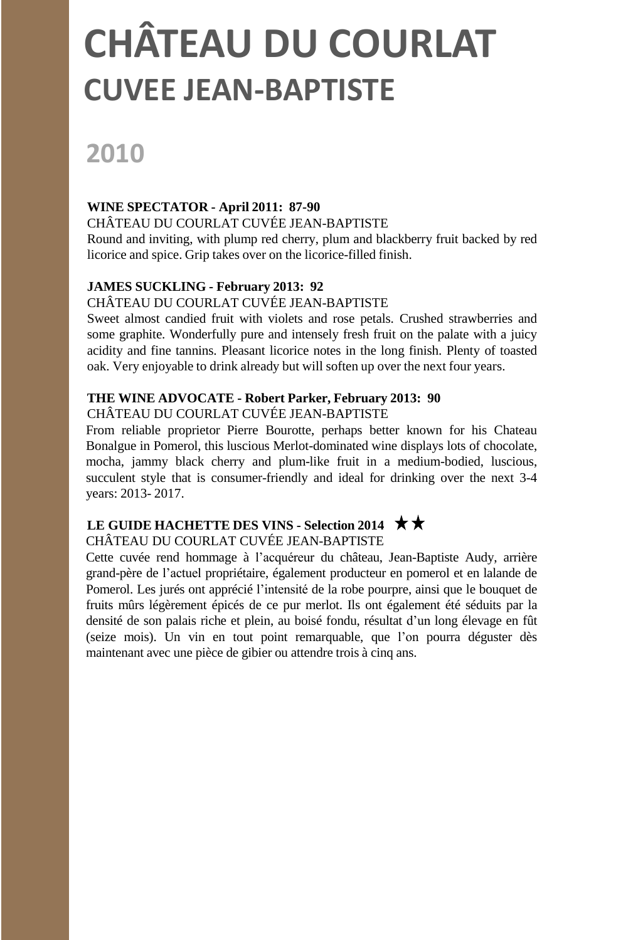# **2010**

#### **WINE SPECTATOR - April 2011: 87-90**

CHÂTEAU DU COURLAT CUVÉE JEAN-BAPTISTE

Round and inviting, with plump red cherry, plum and blackberry fruit backed by red licorice and spice. Grip takes over on the licorice-filled finish.

#### **JAMES SUCKLING - February 2013: 92**

#### CHÂTEAU DU COURLAT CUVÉE JEAN-BAPTISTE

Sweet almost candied fruit with violets and rose petals. Crushed strawberries and some graphite. Wonderfully pure and intensely fresh fruit on the palate with a juicy acidity and fine tannins. Pleasant licorice notes in the long finish. Plenty of toasted oak. Very enjoyable to drink already but will soften up over the next four years.

#### **THE WINE ADVOCATE - Robert Parker, February 2013: 90**

CHÂTEAU DU COURLAT CUVÉE JEAN-BAPTISTE

From reliable proprietor Pierre Bourotte, perhaps better known for his Chateau Bonalgue in Pomerol, this luscious Merlot-dominated wine displays lots of chocolate, mocha, jammy black cherry and plum-like fruit in a medium-bodied, luscious, succulent style that is consumer-friendly and ideal for drinking over the next 3-4 years: 2013- 2017.

#### **LE GUIDE HACHETTE DES VINS - Selection 2014**

#### CHÂTEAU DU COURLAT CUVÉE JEAN-BAPTISTE

Cette cuvée rend hommage à l'acquéreur du château, Jean-Baptiste Audy, arrière grand-père de l'actuel propriétaire, également producteur en pomerol et en lalande de Pomerol. Les jurés ont apprécié l'intensité de la robe pourpre, ainsi que le bouquet de fruits mûrs légèrement épicés de ce pur merlot. Ils ont également été séduits par la densité de son palais riche et plein, au boisé fondu, résultat d'un long élevage en fût (seize mois). Un vin en tout point remarquable, que l'on pourra déguster dès maintenant avec une pièce de gibier ou attendre trois à cinq ans.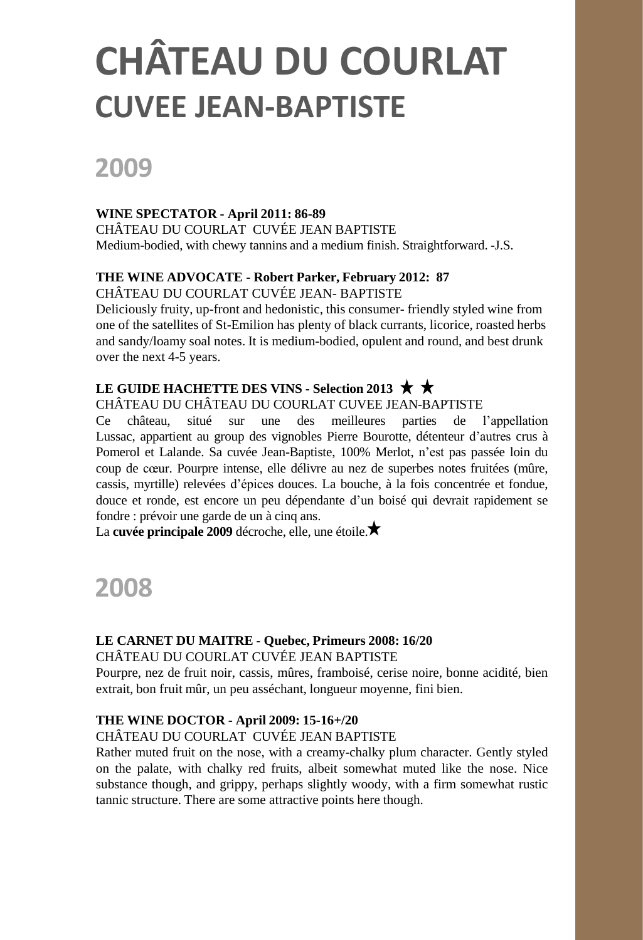# **2009**

#### **WINE SPECTATOR - April 2011: 86-89**

CHÂTEAU DU COURLAT CUVÉE JEAN BAPTISTE Medium-bodied, with chewy tannins and a medium finish. Straightforward. -J.S.

#### **THE WINE ADVOCATE - Robert Parker, February 2012: 87**

CHÂTEAU DU COURLAT CUVÉE JEAN- BAPTISTE

Deliciously fruity, up-front and hedonistic, this consumer- friendly styled wine from one of the satellites of St-Emilion has plenty of black currants, licorice, roasted herbs and sandy/loamy soal notes. It is medium-bodied, opulent and round, and best drunk over the next 4-5 years.

#### **LE GUIDE HACHETTE DES VINS - Selection 2013**

#### CHÂTEAU DU CHÂTEAU DU COURLAT CUVEE JEAN-BAPTISTE

Ce château, situé sur une des meilleures parties de l'appellation Lussac, appartient au group des vignobles Pierre Bourotte, détenteur d'autres crus à Pomerol et Lalande. Sa cuvée Jean-Baptiste, 100% Merlot, n'est pas passée loin du coup de cœur. Pourpre intense, elle délivre au nez de superbes notes fruitées (mûre, cassis, myrtille) relevées d'épices douces. La bouche, à la fois concentrée et fondue, douce et ronde, est encore un peu dépendante d'un boisé qui devrait rapidement se fondre : prévoir une garde de un à cinq ans.

La **cuvée principale 2009** décroche, elle, une étoile.

## **2008**

#### **LE CARNET DU MAITRE - Quebec, Primeurs 2008: 16/20**

#### CHÂTEAU DU COURLAT CUVÉE JEAN BAPTISTE

Pourpre, nez de fruit noir, cassis, mûres, framboisé, cerise noire, bonne acidité, bien extrait, bon fruit mûr, un peu asséchant, longueur moyenne, fini bien.

#### **THE WINE DOCTOR - April 2009: 15-16+/20**

#### CHÂTEAU DU COURLAT CUVÉE JEAN BAPTISTE

Rather muted fruit on the nose, with a creamy-chalky plum character. Gently styled on the palate, with chalky red fruits, albeit somewhat muted like the nose. Nice substance though, and grippy, perhaps slightly woody, with a firm somewhat rustic tannic structure. There are some attractive points here though.